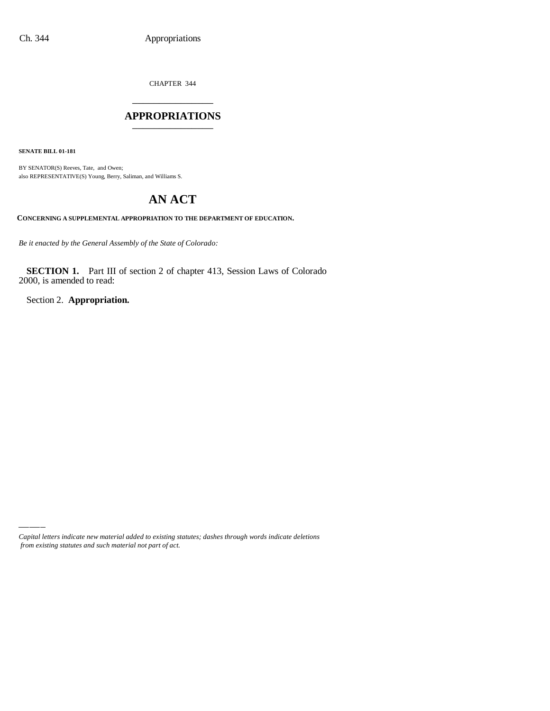CHAPTER 344 \_\_\_\_\_\_\_\_\_\_\_\_\_\_\_

### **APPROPRIATIONS** \_\_\_\_\_\_\_\_\_\_\_\_\_\_\_

**SENATE BILL 01-181**

BY SENATOR(S) Reeves, Tate, and Owen; also REPRESENTATIVE(S) Young, Berry, Saliman, and Williams S.

# **AN ACT**

**CONCERNING A SUPPLEMENTAL APPROPRIATION TO THE DEPARTMENT OF EDUCATION.**

*Be it enacted by the General Assembly of the State of Colorado:*

**SECTION 1.** Part III of section 2 of chapter 413, Session Laws of Colorado 2000, is amended to read:

Section 2. **Appropriation.**

*Capital letters indicate new material added to existing statutes; dashes through words indicate deletions from existing statutes and such material not part of act.*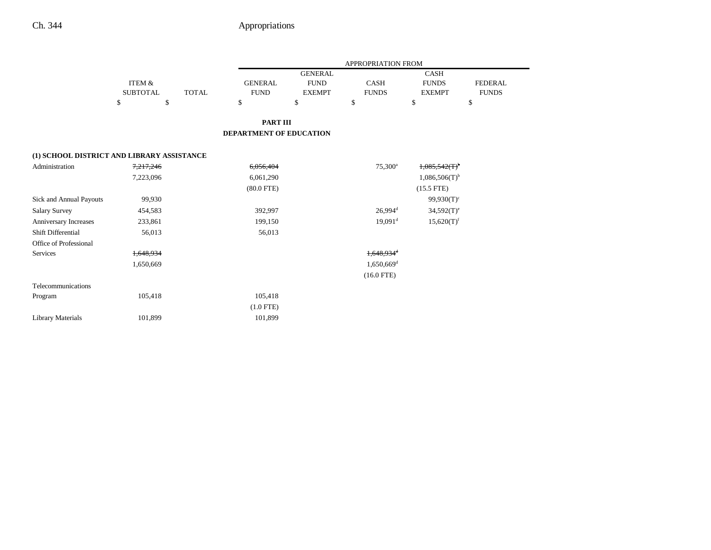|                                            |                   |       | <b>APPROPRIATION FROM</b> |                |                          |                             |                |  |
|--------------------------------------------|-------------------|-------|---------------------------|----------------|--------------------------|-----------------------------|----------------|--|
|                                            |                   |       |                           | <b>GENERAL</b> |                          | <b>CASH</b>                 |                |  |
|                                            | <b>ITEM &amp;</b> |       | <b>GENERAL</b>            | <b>FUND</b>    | <b>CASH</b>              | <b>FUNDS</b>                | <b>FEDERAL</b> |  |
|                                            | SUBTOTAL          | TOTAL | <b>FUND</b>               | <b>EXEMPT</b>  | <b>FUNDS</b>             | <b>EXEMPT</b>               | <b>FUNDS</b>   |  |
|                                            | \$<br>\$          |       | $\mathbb{S}$              | \$             | \$                       | \$                          | \$             |  |
|                                            |                   |       |                           |                |                          |                             |                |  |
|                                            |                   |       | <b>PART III</b>           |                |                          |                             |                |  |
|                                            |                   |       | DEPARTMENT OF EDUCATION   |                |                          |                             |                |  |
|                                            |                   |       |                           |                |                          |                             |                |  |
| (1) SCHOOL DISTRICT AND LIBRARY ASSISTANCE |                   |       |                           |                |                          |                             |                |  |
| Administration                             | 7,217,246         |       | 6,056,404                 |                | 75,300 <sup>a</sup>      | 1,085,542(T)                |                |  |
|                                            | 7,223,096         |       | 6,061,290                 |                |                          | $1,086,506(T)$ <sup>b</sup> |                |  |
|                                            |                   |       | $(80.0$ FTE)              |                |                          | $(15.5$ FTE)                |                |  |
| Sick and Annual Payouts                    | 99,930            |       |                           |                |                          | $99,930(T)$ <sup>c</sup>    |                |  |
| <b>Salary Survey</b>                       | 454,583           |       | 392,997                   |                | $26,994$ <sup>d</sup>    | $34,592(T)$ <sup>e</sup>    |                |  |
| Anniversary Increases                      | 233,861           |       | 199,150                   |                | $19,091$ <sup>d</sup>    | $15,620(T)$ <sup>f</sup>    |                |  |
| Shift Differential                         | 56,013            |       | 56,013                    |                |                          |                             |                |  |
| Office of Professional                     |                   |       |                           |                |                          |                             |                |  |
| Services                                   | 1,648,934         |       |                           |                | 1,648,934 <sup>d</sup>   |                             |                |  |
|                                            | 1,650,669         |       |                           |                | $1,650,669$ <sup>d</sup> |                             |                |  |
|                                            |                   |       |                           |                | $(16.0$ FTE)             |                             |                |  |
| Telecommunications                         |                   |       |                           |                |                          |                             |                |  |
| Program                                    | 105,418           |       | 105,418                   |                |                          |                             |                |  |
|                                            |                   |       | $(1.0$ FTE)               |                |                          |                             |                |  |
| <b>Library Materials</b>                   | 101,899           |       | 101,899                   |                |                          |                             |                |  |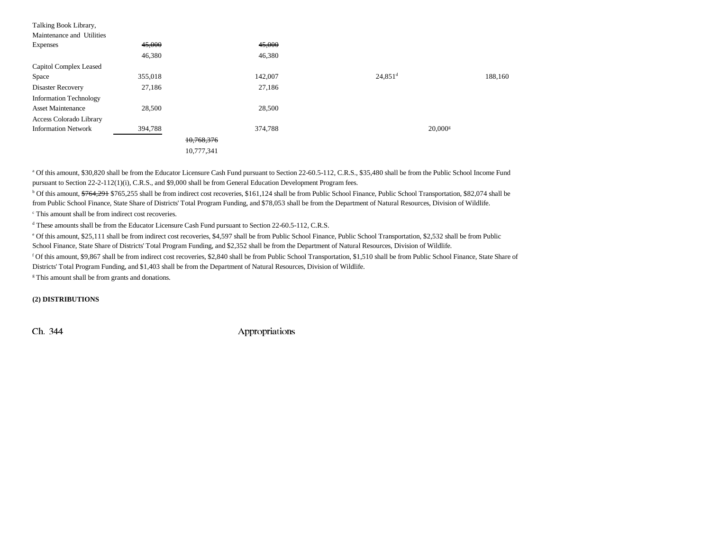| Talking Book Library,          |         |            |         |                       |         |
|--------------------------------|---------|------------|---------|-----------------------|---------|
| Maintenance and Utilities      |         |            |         |                       |         |
| <b>Expenses</b>                | 45,000  |            | 45,000  |                       |         |
|                                | 46,380  |            | 46,380  |                       |         |
| Capitol Complex Leased         |         |            |         |                       |         |
| Space                          | 355,018 |            | 142,007 | $24,851$ <sup>d</sup> | 188,160 |
| Disaster Recovery              | 27,186  |            | 27,186  |                       |         |
| <b>Information Technology</b>  |         |            |         |                       |         |
| <b>Asset Maintenance</b>       | 28,500  |            | 28,500  |                       |         |
| <b>Access Colorado Library</b> |         |            |         |                       |         |
| <b>Information Network</b>     | 394,788 |            | 374,788 | $20,000$ <sup>s</sup> |         |
|                                |         | 10,768,376 |         |                       |         |
|                                |         | 10,777,341 |         |                       |         |

a Of this amount, \$30,820 shall be from the Educator Licensure Cash Fund pursuant to Section 22-60.5-112, C.R.S., \$35,480 shall be from the Public School Income Fund pursuant to Section 22-2-112(1)(i), C.R.S., and \$9,000 shall be from General Education Development Program fees.

<sup>b</sup> Of this amount, \$764,291 \$765,255 shall be from indirect cost recoveries, \$161,124 shall be from Public School Finance, Public School Transportation, \$82,074 shall be from Public School Finance, State Share of Districts' Total Program Funding, and \$78,053 shall be from the Department of Natural Resources, Division of Wildlife.

c This amount shall be from indirect cost recoveries.

d These amounts shall be from the Educator Licensure Cash Fund pursuant to Section 22-60.5-112, C.R.S.

e Of this amount, \$25,111 shall be from indirect cost recoveries, \$4,597 shall be from Public School Finance, Public School Transportation, \$2,532 shall be from Public

School Finance, State Share of Districts' Total Program Funding, and \$2,352 shall be from the Department of Natural Resources, Division of Wildlife.

f Of this amount, \$9,867 shall be from indirect cost recoveries, \$2,840 shall be from Public School Transportation, \$1,510 shall be from Public School Finance, State Share of Districts' Total Program Funding, and \$1,403 shall be from the Department of Natural Resources, Division of Wildlife.

<sup>g</sup> This amount shall be from grants and donations.

**(2) DISTRIBUTIONS**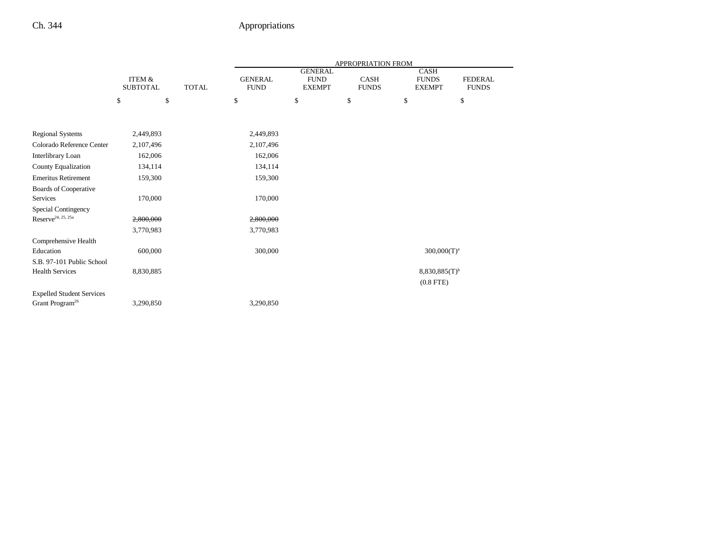|                                  |                                      |              | <b>APPROPRIATION FROM</b>     |                              |                             |                               |                                |  |
|----------------------------------|--------------------------------------|--------------|-------------------------------|------------------------------|-----------------------------|-------------------------------|--------------------------------|--|
|                                  |                                      |              |                               | <b>GENERAL</b>               |                             | CASH                          |                                |  |
|                                  | <b>ITEM &amp;</b><br><b>SUBTOTAL</b> | <b>TOTAL</b> | <b>GENERAL</b><br><b>FUND</b> | <b>FUND</b><br><b>EXEMPT</b> | <b>CASH</b><br><b>FUNDS</b> | <b>FUNDS</b><br><b>EXEMPT</b> | <b>FEDERAL</b><br><b>FUNDS</b> |  |
|                                  |                                      |              |                               |                              |                             |                               |                                |  |
|                                  | \$<br>\$                             |              | \$                            | \$                           | \$                          | \$                            | \$                             |  |
|                                  |                                      |              |                               |                              |                             |                               |                                |  |
| <b>Regional Systems</b>          | 2,449,893                            |              | 2,449,893                     |                              |                             |                               |                                |  |
| Colorado Reference Center        | 2,107,496                            |              | 2,107,496                     |                              |                             |                               |                                |  |
| Interlibrary Loan                | 162,006                              |              | 162,006                       |                              |                             |                               |                                |  |
| County Equalization              | 134,114                              |              | 134,114                       |                              |                             |                               |                                |  |
| <b>Emeritus Retirement</b>       | 159,300                              |              | 159,300                       |                              |                             |                               |                                |  |
| Boards of Cooperative            |                                      |              |                               |                              |                             |                               |                                |  |
| <b>Services</b>                  | 170,000                              |              | 170,000                       |                              |                             |                               |                                |  |
| Special Contingency              |                                      |              |                               |                              |                             |                               |                                |  |
| $\mbox{Reserve}^{24,\;25,\;25a}$ | 2,800,000                            |              | 2,800,000                     |                              |                             |                               |                                |  |
|                                  | 3,770,983                            |              | 3,770,983                     |                              |                             |                               |                                |  |
| Comprehensive Health             |                                      |              |                               |                              |                             |                               |                                |  |
| Education                        | 600,000                              |              | 300,000                       |                              |                             | $300,000(T)^a$                |                                |  |
| S.B. 97-101 Public School        |                                      |              |                               |                              |                             |                               |                                |  |
| <b>Health Services</b>           | 8,830,885                            |              |                               |                              |                             | $8,830,885(T)$ <sup>b</sup>   |                                |  |
|                                  |                                      |              |                               |                              |                             | $(0.8$ FTE)                   |                                |  |
| <b>Expelled Student Services</b> |                                      |              |                               |                              |                             |                               |                                |  |
| Grant Program <sup>26</sup>      | 3,290,850                            |              | 3,290,850                     |                              |                             |                               |                                |  |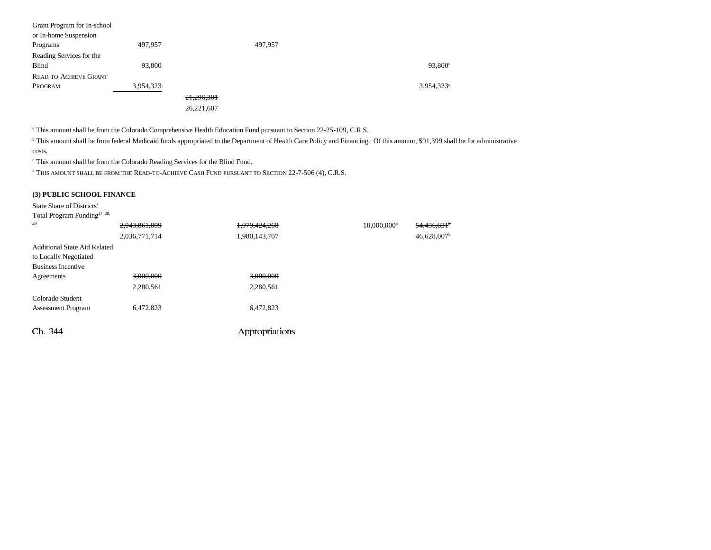| Grant Program for In-school |           |            |         |                        |
|-----------------------------|-----------|------------|---------|------------------------|
| or In-home Suspension       |           |            |         |                        |
| Programs                    | 497,957   |            | 497,957 |                        |
| Reading Services for the    |           |            |         |                        |
| Blind                       | 93,800    |            |         | $93,800^{\circ}$       |
| READ-TO-ACHIEVE GRANT       |           |            |         |                        |
| PROGRAM                     | 3,954,323 |            |         | 3,954,323 <sup>d</sup> |
|                             |           | 21,296,301 |         |                        |
|                             |           | 26,221,607 |         |                        |

a This amount shall be from the Colorado Comprehensive Health Education Fund pursuant to Section 22-25-109, C.R.S.

<sup>b</sup> This amount shall be from federal Medicaid funds appropriated to the Department of Health Care Policy and Financing. Of this amount, \$91,399 shall be for administrative costs.

c This amount shall be from the Colorado Reading Services for the Blind Fund.

 $^{\rm d}$  This amount shall be from the Read-to-Achieve Cash Fund pursuant to Section 22-7-506 (4), C.R.S.

#### **(3) PUBLIC SCHOOL FINANCE**

State Share of Districts'

| Total Program Funding <sup>27, 28,</sup> |               |                |                         |                           |  |
|------------------------------------------|---------------|----------------|-------------------------|---------------------------|--|
| 29                                       | 2,043,861,099 | 1,979,424,268  | 10,000,000 <sup>a</sup> | $54,436,831$ <sup>b</sup> |  |
|                                          | 2,036,771,714 | 1,980,143,707  |                         | $46,628,007$ <sup>b</sup> |  |
| <b>Additional State Aid Related</b>      |               |                |                         |                           |  |
| to Locally Negotiated                    |               |                |                         |                           |  |
| <b>Business Incentive</b>                |               |                |                         |                           |  |
| Agreements                               | 3,000,000     | 3,000,000      |                         |                           |  |
|                                          | 2,280,561     | 2,280,561      |                         |                           |  |
| Colorado Student                         |               |                |                         |                           |  |
| <b>Assessment Program</b>                | 6,472,823     | 6,472,823      |                         |                           |  |
|                                          |               |                |                         |                           |  |
| Ch. 344                                  |               | Appropriations |                         |                           |  |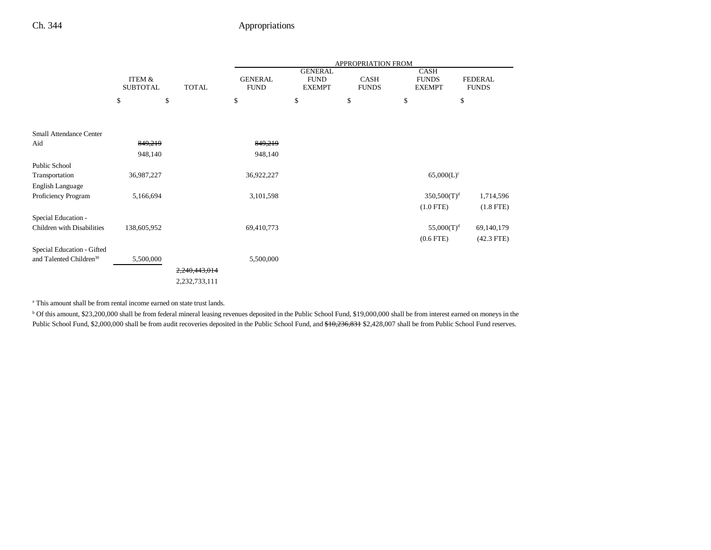|                                     |                                      |               | APPROPRIATION FROM            |                                                |                      |                                              |                                |  |
|-------------------------------------|--------------------------------------|---------------|-------------------------------|------------------------------------------------|----------------------|----------------------------------------------|--------------------------------|--|
|                                     | <b>ITEM &amp;</b><br><b>SUBTOTAL</b> | <b>TOTAL</b>  | <b>GENERAL</b><br><b>FUND</b> | <b>GENERAL</b><br><b>FUND</b><br><b>EXEMPT</b> | CASH<br><b>FUNDS</b> | <b>CASH</b><br><b>FUNDS</b><br><b>EXEMPT</b> | <b>FEDERAL</b><br><b>FUNDS</b> |  |
|                                     | \$                                   | \$            | \$                            | \$                                             | \$                   | \$                                           | \$                             |  |
| <b>Small Attendance Center</b>      |                                      |               |                               |                                                |                      |                                              |                                |  |
| Aid                                 | 849,219                              |               | 849,219                       |                                                |                      |                                              |                                |  |
|                                     | 948,140                              |               | 948,140                       |                                                |                      |                                              |                                |  |
| Public School                       |                                      |               |                               |                                                |                      |                                              |                                |  |
| Transportation                      | 36,987,227                           |               | 36,922,227                    |                                                |                      | $65,000(L)^c$                                |                                |  |
| English Language                    |                                      |               |                               |                                                |                      |                                              |                                |  |
| Proficiency Program                 | 5,166,694                            |               | 3,101,598                     |                                                |                      | $350,500(T)^d$                               | 1,714,596                      |  |
|                                     |                                      |               |                               |                                                |                      | $(1.0$ FTE)                                  | $(1.8$ FTE)                    |  |
| Special Education -                 |                                      |               |                               |                                                |                      |                                              |                                |  |
| Children with Disabilities          | 138,605,952                          |               | 69,410,773                    |                                                |                      | $55,000(T)^d$                                | 69,140,179                     |  |
|                                     |                                      |               |                               |                                                |                      | $(0.6$ FTE $)$                               | $(42.3$ FTE)                   |  |
| Special Education - Gifted          |                                      |               |                               |                                                |                      |                                              |                                |  |
| and Talented Children <sup>30</sup> | 5,500,000                            |               | 5,500,000                     |                                                |                      |                                              |                                |  |
|                                     |                                      | 2,240,443,014 |                               |                                                |                      |                                              |                                |  |
|                                     |                                      | 2,232,733,111 |                               |                                                |                      |                                              |                                |  |

<sup>a</sup> This amount shall be from rental income earned on state trust lands.

<sup>b</sup> Of this amount, \$23,200,000 shall be from federal mineral leasing revenues deposited in the Public School Fund, \$19,000,000 shall be from interest earned on moneys in the Public School Fund, \$2,000,000 shall be from audit recoveries deposited in the Public School Fund, and \$10,236,831 \$2,428,007 shall be from Public School Fund reserves.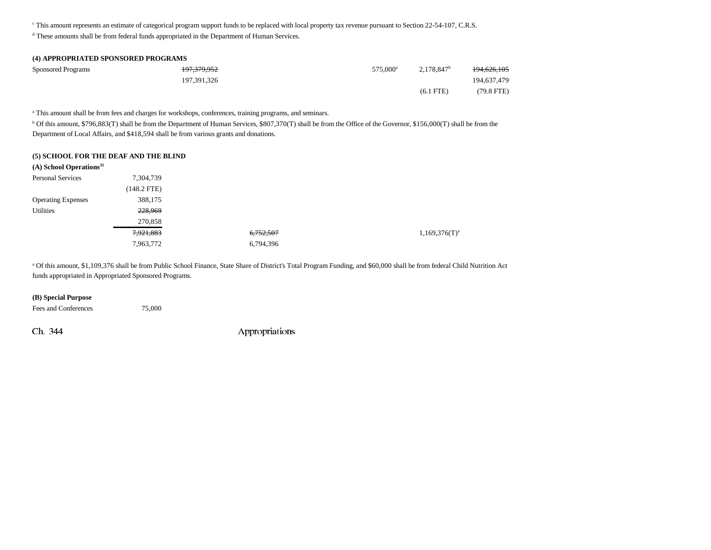c This amount represents an estimate of categorical program support funds to be replaced with local property tax revenue pursuant to Section 22-54-107, C.R.S.

d These amounts shall be from federal funds appropriated in the Department of Human Services.

## **(4) APPROPRIATED SPONSORED PROGRAMS** Sponsored Programs **197,379,952** 575,000<sup>a</sup> 2,178,847<sup>b</sup> 194,626,105 197,391,326 194,637,479 (6.1 FTE) (79.8 FTE)

a This amount shall be from fees and charges for workshops, conferences, training programs, and seminars.

<sup>b</sup> Of this amount, \$796,883(T) shall be from the Department of Human Services, \$807,370(T) shall be from the Office of the Governor, \$156,000(T) shall be from the Department of Local Affairs, and \$418,594 shall be from various grants and donations.

#### **(5) SCHOOL FOR THE DEAF AND THE BLIND**

| 7,304,739     |           |                    |
|---------------|-----------|--------------------|
| $(148.2$ FTE) |           |                    |
| 388,175       |           |                    |
| 228,969       |           |                    |
| 270,858       |           |                    |
| 7,921,883     | 6,752,507 | $1,169,376(T)^{a}$ |
| 7,963,772     | 6,794,396 |                    |
|               |           |                    |

<sup>a</sup> Of this amount, \$1,109,376 shall be from Public School Finance, State Share of District's Total Program Funding, and \$60,000 shall be from federal Child Nutrition Act funds appropriated in Appropriated Sponsored Programs.

#### **(B) Special Purpose**

Fees and Conferences 75,000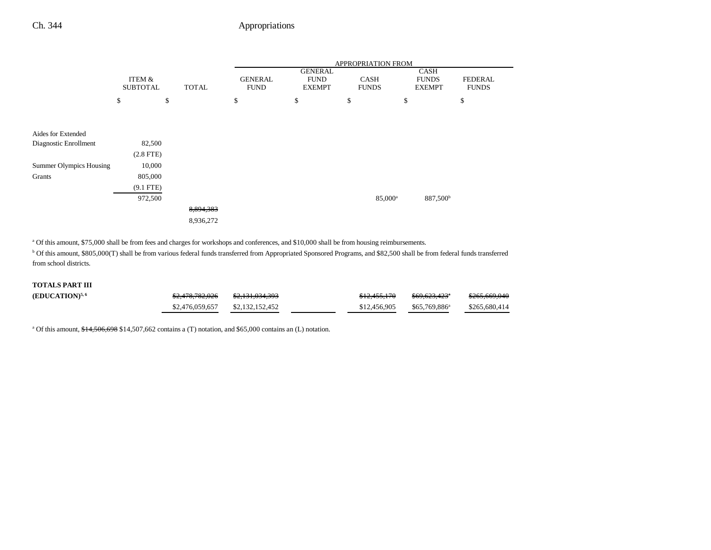|                                |                   |              | APPROPRIATION FROM |                               |                     |                             |                |
|--------------------------------|-------------------|--------------|--------------------|-------------------------------|---------------------|-----------------------------|----------------|
|                                | <b>ITEM &amp;</b> |              | <b>GENERAL</b>     | <b>GENERAL</b><br><b>FUND</b> | <b>CASH</b>         | <b>CASH</b><br><b>FUNDS</b> | <b>FEDERAL</b> |
|                                | <b>SUBTOTAL</b>   | <b>TOTAL</b> | <b>FUND</b>        | <b>EXEMPT</b>                 | <b>FUNDS</b>        | <b>EXEMPT</b>               | <b>FUNDS</b>   |
|                                | \$                | \$           | \$                 | \$                            | \$                  | \$                          | \$             |
|                                |                   |              |                    |                               |                     |                             |                |
|                                |                   |              |                    |                               |                     |                             |                |
| Aides for Extended             |                   |              |                    |                               |                     |                             |                |
| Diagnostic Enrollment          | 82,500            |              |                    |                               |                     |                             |                |
|                                | $(2.8$ FTE)       |              |                    |                               |                     |                             |                |
| <b>Summer Olympics Housing</b> | 10,000            |              |                    |                               |                     |                             |                |
| Grants                         | 805,000           |              |                    |                               |                     |                             |                |
|                                | $(9.1$ FTE)       |              |                    |                               |                     |                             |                |
|                                | 972,500           |              |                    |                               | 85,000 <sup>a</sup> | 887,500 <sup>b</sup>        |                |
|                                |                   | 8,894,383    |                    |                               |                     |                             |                |
|                                |                   | 8,936,272    |                    |                               |                     |                             |                |

a Of this amount, \$75,000 shall be from fees and charges for workshops and conferences, and \$10,000 shall be from housing reimbursements.

<sup>b</sup> Of this amount, \$805,000(T) shall be from various federal funds transferred from Appropriated Sponsored Programs, and \$82,500 shall be from federal funds transferred from school districts.

### **TOTALS PART III**

| (EDUCATION) <sup>5, 6</sup> | \$2,478,782,026                   | <del>\$2,131,034,393</del> | \$12,455,170 | <del>\$69.623.423</del> * | \$265,669,046 |
|-----------------------------|-----------------------------------|----------------------------|--------------|---------------------------|---------------|
|                             | $$2,476,059,657$ $$2,132,152,452$ |                            | \$12,456,905 | $$65.769.886^a$           | \$265,680,414 |

<sup>a</sup> Of this amount, \$14,506,698 \$14,507,662 contains a (T) notation, and \$65,000 contains an (L) notation.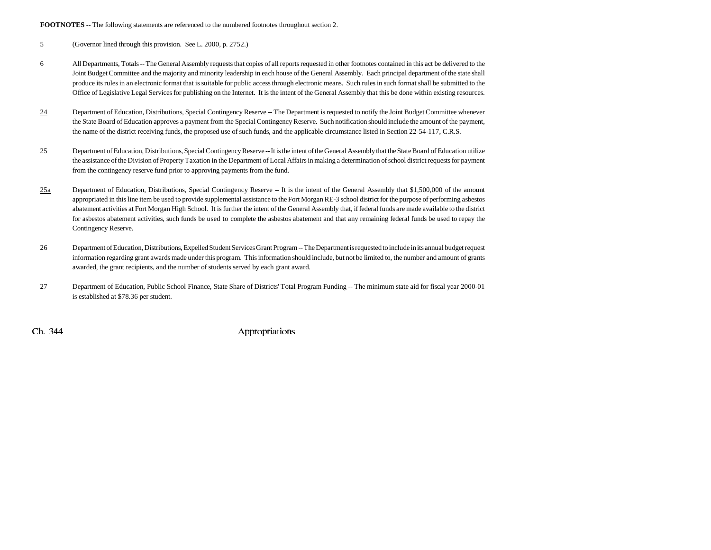#### **FOOTNOTES** -- The following statements are referenced to the numbered footnotes throughout section 2.

5 (Governor lined through this provision. See L. 2000, p. 2752.)

- 6 All Departments, Totals -- The General Assembly requests that copies of all reports requested in other footnotes contained in this act be delivered to the Joint Budget Committee and the majority and minority leadership in each house of the General Assembly. Each principal department of the state shall produce its rules in an electronic format that is suitable for public access through electronic means. Such rules in such format shall be submitted to the Office of Legislative Legal Services for publishing on the Internet. It is the intent of the General Assembly that this be done within existing resources.
- 24 Department of Education, Distributions, Special Contingency Reserve -- The Department is requested to notify the Joint Budget Committee whenever the State Board of Education approves a payment from the Special Contingency Reserve. Such notification should include the amount of the payment, the name of the district receiving funds, the proposed use of such funds, and the applicable circumstance listed in Section 22-54-117, C.R.S.
- 25 Department of Education, Distributions, Special Contingency Reserve -- It is the intent of the General Assembly that the State Board of Education utilize the assistance of the Division of Property Taxation in the Department of Local Affairs in making a determination of school district requests for payment from the contingency reserve fund prior to approving payments from the fund.
- $\frac{25a}{2}$  Department of Education, Distributions, Special Contingency Reserve -- It is the intent of the General Assembly that \$1,500,000 of the amount appropriated in this line item be used to provide supplemental assistance to the Fort Morgan RE-3 school district for the purpose of performing asbestos abatement activities at Fort Morgan High School. It is further the intent of the General Assembly that, if federal funds are made available to the district for asbestos abatement activities, such funds be used to complete the asbestos abatement and that any remaining federal funds be used to repay the Contingency Reserve.
- 26 Department of Education, Distributions, Expelled Student Services Grant Program -- The Department is requested to include in its annual budget request information regarding grant awards made under this program. This information should include, but not be limited to, the number and amount of grants awarded, the grant recipients, and the number of students served by each grant award.
- 27 Department of Education, Public School Finance, State Share of Districts' Total Program Funding -- The minimum state aid for fiscal year 2000-01 is established at \$78.36 per student.